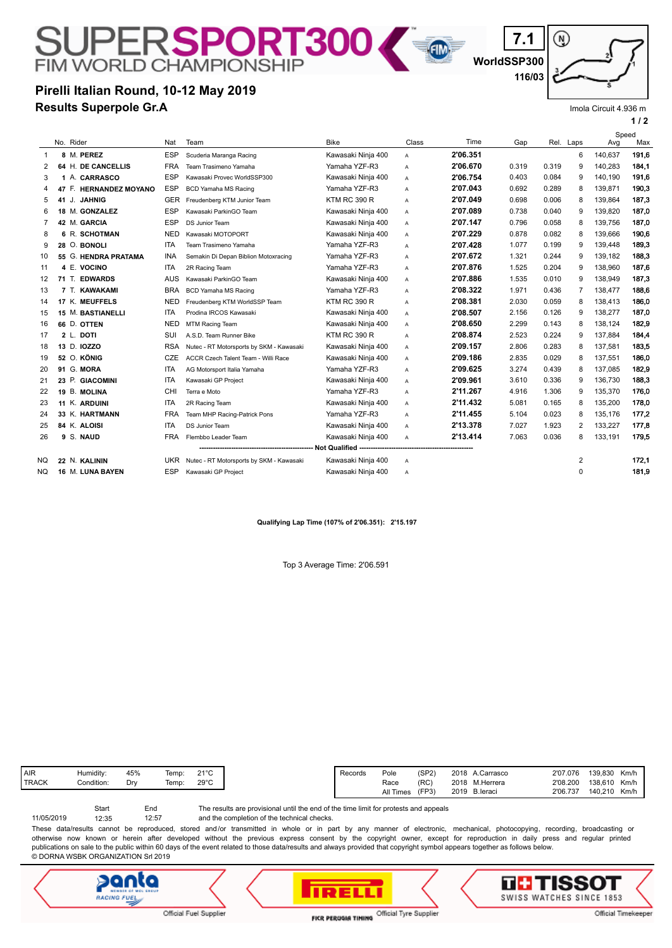## SUPER**SPORT300**

**Results Superpole Gr.A Pirelli Italian Round, 10-12 May 2019** **116/03**

(၈)

**WorldSSP300**

**7.1**

Imola Circuit 4.936 m

**1 / 2**

| 2<br>3         | No. Rider<br>8 M. PEREZ<br>64 H. DE CANCELLIS<br>1 A. CARRASCO | Nat<br><b>ESP</b><br><b>FRA</b> | Team<br>Scuderia Maranga Racing          | <b>Bike</b>         | Class        | Time     | Gap   | Rel. Laps |   |         | Speed<br>Max<br>Avg |  |
|----------------|----------------------------------------------------------------|---------------------------------|------------------------------------------|---------------------|--------------|----------|-------|-----------|---|---------|---------------------|--|
|                |                                                                |                                 |                                          | Kawasaki Ninja 400  | $\mathsf{A}$ | 2'06.351 |       |           | 6 | 140,637 | 191,6               |  |
|                |                                                                |                                 | Team Trasimeno Yamaha                    | Yamaha YZF-R3       | A            | 2'06.670 | 0.319 | 0.319     | 9 | 140,283 | 184,1               |  |
|                |                                                                | <b>ESP</b>                      | Kawasaki Provec WorldSSP300              | Kawasaki Ninja 400  | Α            | 2'06.754 | 0.403 | 0.084     | 9 | 140,190 | 191,6               |  |
| 4              | 47 F. HERNANDEZ MOYANO                                         | <b>ESP</b>                      | <b>BCD Yamaha MS Racing</b>              | Yamaha YZF-R3       | A            | 2'07.043 | 0.692 | 0.289     | 8 | 139.871 | 190.3               |  |
| 5              | 41 J. JAHNIG                                                   | <b>GER</b>                      | Freudenberg KTM Junior Team              | <b>KTM RC 390 R</b> | A            | 2'07.049 | 0.698 | 0.006     | 8 | 139.864 | 187,3               |  |
| 6              | 18 M. GONZALEZ                                                 | <b>ESP</b>                      | Kawasaki ParkinGO Team                   | Kawasaki Ninja 400  | A            | 2'07.089 | 0.738 | 0.040     | 9 | 139.820 | 187,0               |  |
| $\overline{7}$ | 42 M. GARCIA                                                   | <b>ESP</b>                      | DS Junior Team                           | Kawasaki Ninja 400  | A            | 2'07.147 | 0.796 | 0.058     | 8 | 139,756 | 187,0               |  |
| 8              | 6 R. SCHOTMAN                                                  | <b>NED</b>                      | Kawasaki MOTOPORT                        | Kawasaki Ninja 400  | A            | 2'07.229 | 0.878 | 0.082     | 8 | 139,666 | 190,6               |  |
| 9              | 28 O. BONOLI                                                   | ITA                             | Team Trasimeno Yamaha                    | Yamaha YZF-R3       | A            | 2'07.428 | 1.077 | 0.199     | 9 | 139,448 | 189.3               |  |
| 10             | 55 G. HENDRA PRATAMA                                           | <b>INA</b>                      | Semakin Di Depan Biblion Motoxracing     | Yamaha YZF-R3       | A            | 2'07.672 | 1.321 | 0.244     | 9 | 139.182 | 188.3               |  |
| 11             | 4 E.<br><b>VOCINO</b>                                          | <b>ITA</b>                      | 2R Racing Team                           | Yamaha YZF-R3       | A            | 2'07.876 | 1.525 | 0.204     | 9 | 138.960 | 187,6               |  |
| 12             | 71 T. EDWARDS                                                  | <b>AUS</b>                      | Kawasaki ParkinGO Team                   | Kawasaki Ninja 400  | A            | 2'07.886 | 1.535 | 0.010     | 9 | 138,949 | 187,3               |  |
| 13             | 7 T. KAWAKAMI                                                  | <b>BRA</b>                      | BCD Yamaha MS Racing                     | Yamaha YZF-R3       | A            | 2'08.322 | 1.971 | 0.436     | 7 | 138,477 | 188,6               |  |
| 14             | 17 K. MEUFFELS                                                 | <b>NED</b>                      | Freudenberg KTM WorldSSP Team            | <b>KTM RC 390 R</b> | A            | 2'08.381 | 2.030 | 0.059     | 8 | 138,413 | 186,0               |  |
| 15             | <b>15 M. BASTIANELLI</b>                                       | <b>ITA</b>                      | Prodina IRCOS Kawasaki                   | Kawasaki Ninja 400  | A            | 2'08.507 | 2.156 | 0.126     | 9 | 138.277 | 187,0               |  |
| 16             | 66 D. OTTEN                                                    | <b>NED</b>                      | MTM Racing Team                          | Kawasaki Ninja 400  | A            | 2'08.650 | 2.299 | 0.143     | 8 | 138,124 | 182,9               |  |
| 17             | <b>DOTI</b><br>$2$ L.                                          | SUI                             | A.S.D. Team Runner Bike                  | <b>KTM RC 390 R</b> | A            | 2'08.874 | 2.523 | 0.224     | 9 | 137,884 | 184,4               |  |
| 18             | 13 D. IOZZO                                                    | <b>RSA</b>                      | Nutec - RT Motorsports by SKM - Kawasaki | Kawasaki Ninja 400  | A            | 2'09.157 | 2.806 | 0.283     | 8 | 137,581 | 183,5               |  |
| 19             | 52 O. KÖNIG                                                    | CZE                             | ACCR Czech Talent Team - Willi Race      | Kawasaki Ninja 400  | A            | 2'09.186 | 2.835 | 0.029     | 8 | 137.551 | 186.0               |  |
| 20             | 91 G. MORA                                                     | <b>ITA</b>                      | AG Motorsport Italia Yamaha              | Yamaha YZF-R3       | A            | 2'09.625 | 3.274 | 0.439     | 8 | 137.085 | 182,9               |  |
| 21             | 23 P. GIACOMINI                                                | <b>ITA</b>                      | Kawasaki GP Project                      | Kawasaki Ninja 400  | A            | 2'09.961 | 3.610 | 0.336     | 9 | 136,730 | 188,3               |  |
| 22             | 19 B. MOLINA                                                   | CHI                             | Terra e Moto                             | Yamaha YZF-R3       | A            | 2'11.267 | 4.916 | 1.306     | 9 | 135,370 | 176,0               |  |
| 23             | 11 K. ARDUINI                                                  | <b>ITA</b>                      | 2R Racing Team                           | Kawasaki Ninja 400  | A            | 2'11.432 | 5.081 | 0.165     | 8 | 135,200 | 178,0               |  |
| 24             | 33 K. HARTMANN                                                 | <b>FRA</b>                      | Team MHP Racing-Patrick Pons             | Yamaha YZF-R3       | A            | 2'11.455 | 5.104 | 0.023     | 8 | 135,176 | 177,2               |  |
| 25             | 84 K. ALOISI                                                   | ITA                             | DS Junior Team                           | Kawasaki Ninja 400  | A            | 2'13.378 | 7.027 | 1.923     | 2 | 133.227 | 177.8               |  |
| 26             | 9 S. NAUD                                                      | <b>FRA</b>                      | Flembbo Leader Team                      | Kawasaki Ninja 400  | $\mathsf{A}$ | 2'13.414 | 7.063 | 0.036     | 8 | 133,191 | 179.5               |  |
|                |                                                                |                                 |                                          |                     |              |          |       |           |   |         |                     |  |
| NQ.            | 22 N. KALININ                                                  | <b>UKR</b>                      | Nutec - RT Motorsports by SKM - Kawasaki | Kawasaki Ninja 400  | Α            |          |       |           | 2 |         | 172,1               |  |
| NQ.            | 16 M. LUNA BAYEN                                               | <b>ESP</b>                      | Kawasaki GP Project                      | Kawasaki Ninja 400  | A            |          |       |           | 0 |         | 181.9               |  |

## **Qualifying Lap Time (107% of 2'06.351): 2'15.197**

Top 3 Average Time: 2'06.591

| AIR          | Humidity:  | 45% | Temp: | $21^{\circ}$ C                  |
|--------------|------------|-----|-------|---------------------------------|
| <b>TRACK</b> | Condition: | Drv | Temp: | $29^{\circ}$ C<br>$\sim$ $\sim$ |
|              |            |     |       |                                 |

The results are provisional until the end of the time limit for protests and appeals Start End

and the completion of the technical checks. 12:57 11/05/2019 12:35

These data/results cannot be reproduced, stored and/or transmitted in whole or in part by any manner of electronic, mechanical, photocopying, recording, broadcasting or otherwise now known or herein after developed without the previous express consent by the copyright owner, except for reproduction in daily press and regular printed publications on sale to the public within 60 days of the event related to those data/results and always provided that copyright symbol appears together as follows below. © DORNA WSBK ORGANIZATION Srl 2019